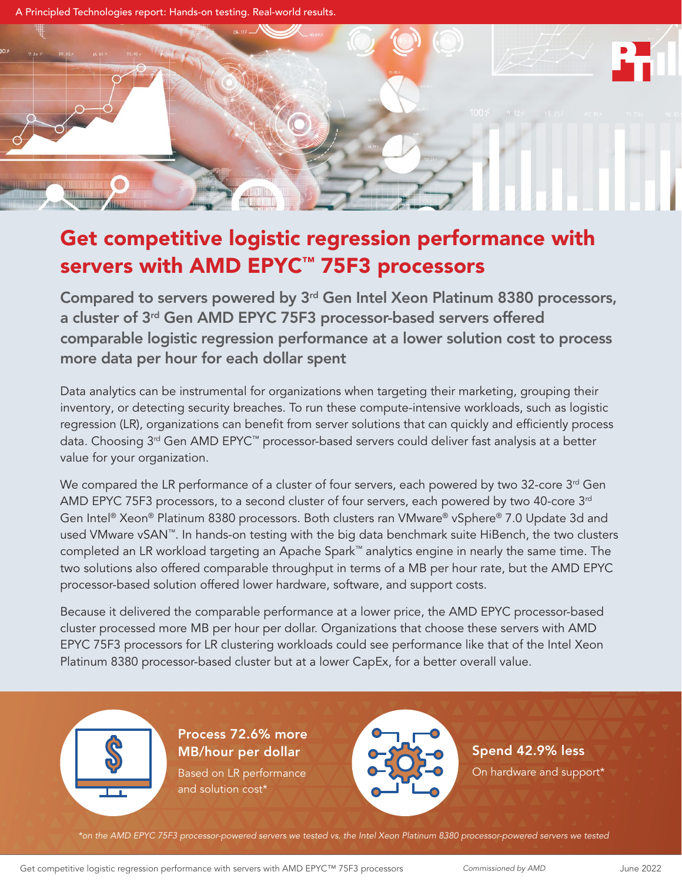

# Get competitive logistic regression performance with servers with AMD EPYC™ 75F3 processors

Compared to servers powered by 3rd Gen Intel Xeon Platinum 8380 processors, a cluster of 3rd Gen AMD EPYC 75F3 processor-based servers offered comparable logistic regression performance at a lower solution cost to process more data per hour for each dollar spent

Data analytics can be instrumental for organizations when targeting their marketing, grouping their inventory, or detecting security breaches. To run these compute-intensive workloads, such as logistic regression (LR), organizations can benefit from server solutions that can quickly and efficiently process data. Choosing 3<sup>rd</sup> Gen AMD EPYC<sup>™</sup> processor-based servers could deliver fast analysis at a better value for your organization.

We compared the LR performance of a cluster of four servers, each powered by two 32-core 3<sup>rd</sup> Gen AMD EPYC 75F3 processors, to a second cluster of four servers, each powered by two 40-core 3<sup>rd</sup> Gen Intel® Xeon® Platinum 8380 processors. Both clusters ran VMware® vSphere® 7.0 Update 3d and used VMware vSAN™. In hands-on testing with the big data benchmark suite HiBench, the two clusters completed an LR workload targeting an Apache Spark™ analytics engine in nearly the same time. The two solutions also offered comparable throughput in terms of a MB per hour rate, but the AMD EPYC processor-based solution offered lower hardware, software, and support costs.

Because it delivered the comparable performance at a lower price, the AMD EPYC processor-based cluster processed more MB per hour per dollar. Organizations that choose these servers with AMD EPYC 75F3 processors for LR clustering workloads could see performance like that of the Intel Xeon Platinum 8380 processor-based cluster but at a lower CapEx, for a better overall value.



Process 72.6% more MB/hour per dollar Based on LR performance and solution cost\*



Spend 42.9% less On hardware and support\*

*\*on the AMD EPYC 75F3 processor-powered servers we tested vs. the Intel Xeon Platinum 8380 processor-powered servers we tested*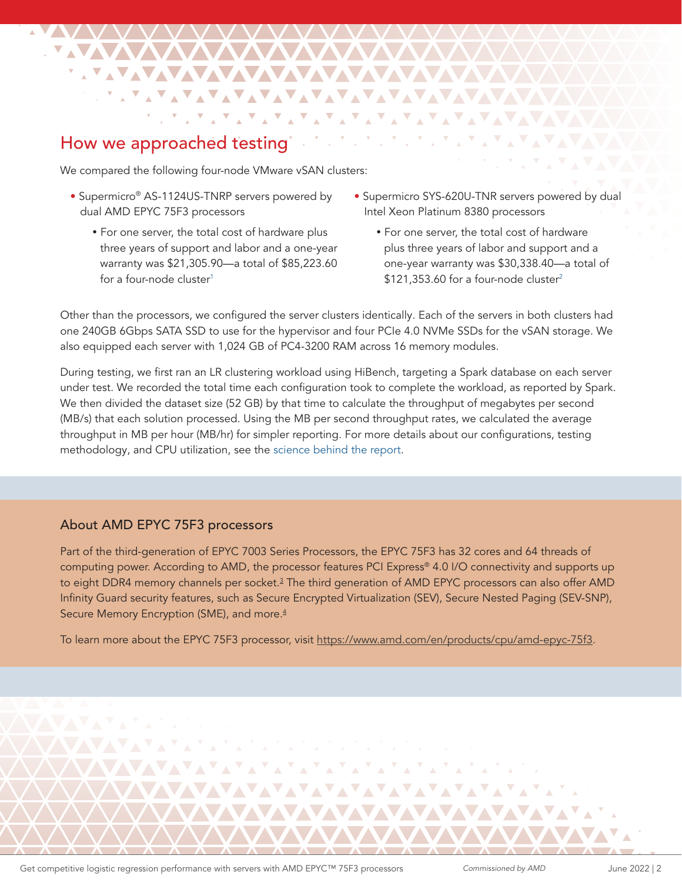## How we approached testing

We compared the following four-node VMware vSAN clusters:

**NAVAVAVAVAVAVA** 

**TAXAYAYAYAYAYAYAYAYAYAYAY** 

<u>SAYAYAYAYAYAYAYAYAYAYAYAYAYAYAYAY</u>

▁▝▁▝▁▘▞▚▝▗▝▗▝▗▝▗▝▗▝▗▝▗▝▗▝▗▝▗▝▞▚<del>▝</del>▗

きょぎょぎょ

- Supermicro® AS-1124US-TNRP servers powered by dual AMD EPYC 75F3 processors
	- For one server, the total cost of hardware plus three years of support and labor and a one-year warranty was \$21,305.90—a total of \$85,223.60 for a four-node cluster<sup>[1](#page-5-0)</sup>
- Supermicro SYS-620U-TNR servers powered by dual Intel Xeon Platinum 8380 processors

 $\mathbf{Y} \in \mathcal{X} \times \mathcal{X} \times \mathcal{X}$ 

• For one server, the total cost of hardware plus three years of labor and support and a one-year warranty was \$30,338.40—a total of  $$121,353.60$  for a four-node cluster<sup>2</sup>

Other than the processors, we configured the server clusters identically. Each of the servers in both clusters had one 240GB 6Gbps SATA SSD to use for the hypervisor and four PCIe 4.0 NVMe SSDs for the vSAN storage. We also equipped each server with 1,024 GB of PC4-3200 RAM across 16 memory modules.

During testing, we first ran an LR clustering workload using HiBench, targeting a Spark database on each server under test. We recorded the total time each configuration took to complete the workload, as reported by Spark. We then divided the dataset size (52 GB) by that time to calculate the throughput of megabytes per second (MB/s) that each solution processed. Using the MB per second throughput rates, we calculated the average throughput in MB per hour (MB/hr) for simpler reporting. For more details about our configurations, testing methodology, and CPU utilization, see the [science behind the report.](https://facts.pt/QH4ttw4)

### About AMD EPYC 75F3 processors

Part of the third-generation of EPYC 7003 Series Processors, the EPYC 75F3 has 32 cores and 64 threads of computing power. According to AMD, the processor features PCI Express® 4.0 I/O connectivity and supports up to eight DDR4 memory channels per socket.<sup>3</sup> The third generation of AMD EPYC processors can also offer AMD Infinity Guard security features, such as Secure Encrypted Virtualization (SEV), Secure Nested Paging (SEV-SNP), Secure Memory Encryption (SME), and more.<sup>4</sup>

 $\Delta$ 

To learn more about the EPYC 75F3 processor, visit <https://www.amd.com/en/products/cpu/amd-epyc-75f3>.

AVAVAVAVAVAVAVAVAV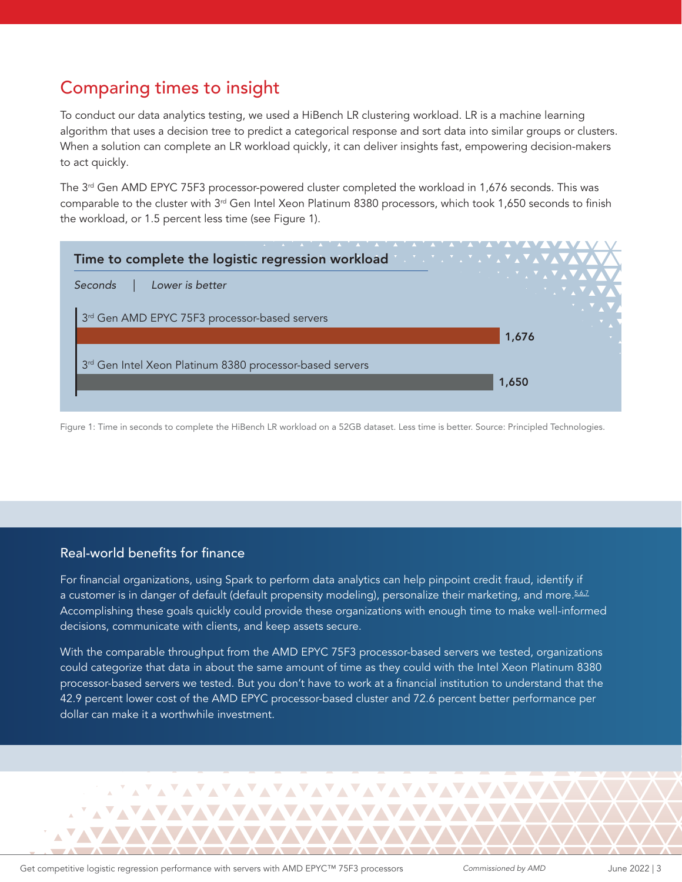# Comparing times to insight

To conduct our data analytics testing, we used a HiBench LR clustering workload. LR is a machine learning algorithm that uses a decision tree to predict a categorical response and sort data into similar groups or clusters. When a solution can complete an LR workload quickly, it can deliver insights fast, empowering decision-makers to act quickly.

The  $3<sup>rd</sup>$  Gen AMD EPYC 75F3 processor-powered cluster completed the workload in 1,676 seconds. This was comparable to the cluster with 3rd Gen Intel Xeon Platinum 8380 processors, which took 1,650 seconds to finish the workload, or 1.5 percent less time (see Figure 1).



Figure 1: Time in seconds to complete the HiBench LR workload on a 52GB dataset. Less time is better. Source: Principled Technologies.

### Real-world benefits for finance

For financial organizations, using Spark to perform data analytics can help pinpoint credit fraud, identify if a customer is in danger of default (default propensity modeling), personalize their marketing, and more.<sup>[5](#page-5-4),[6,](#page-5-5)[7](#page-5-6)</sup> Accomplishing these goals quickly could provide these organizations with enough time to make well-informed decisions, communicate with clients, and keep assets secure.

With the comparable throughput from the AMD EPYC 75F3 processor-based servers we tested, organizations could categorize that data in about the same amount of time as they could with the Intel Xeon Platinum 8380 processor-based servers we tested. But you don't have to work at a financial institution to understand that the 42.9 percent lower cost of the AMD EPYC processor-based cluster and 72.6 percent better performance per dollar can make it a worthwhile investment.

AYAYAYAYAYAYAYAYAYAYAYAYAYA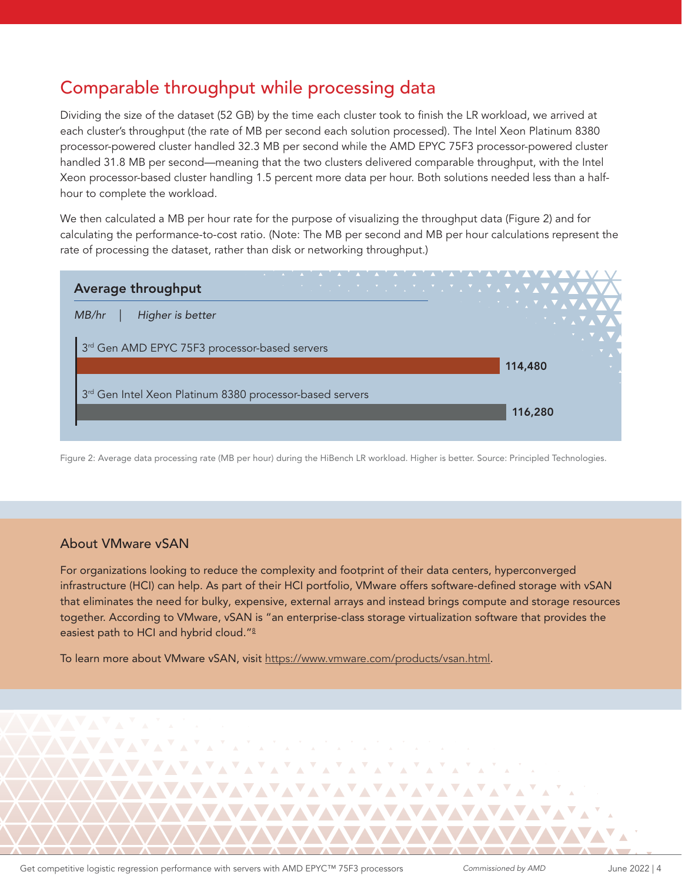# Comparable throughput while processing data

Dividing the size of the dataset (52 GB) by the time each cluster took to finish the LR workload, we arrived at each cluster's throughput (the rate of MB per second each solution processed). The Intel Xeon Platinum 8380 processor-powered cluster handled 32.3 MB per second while the AMD EPYC 75F3 processor-powered cluster handled 31.8 MB per second—meaning that the two clusters delivered comparable throughput, with the Intel Xeon processor-based cluster handling 1.5 percent more data per hour. Both solutions needed less than a halfhour to complete the workload.

We then calculated a MB per hour rate for the purpose of visualizing the throughput data (Figure 2) and for calculating the performance-to-cost ratio. (Note: The MB per second and MB per hour calculations represent the rate of processing the dataset, rather than disk or networking throughput.)

| Average throughput                                       | <u> 1999 - Jan James Alexander III et al. Ingles III et al. Ingles II et al. Ingles II et al. Ingles II et al. I</u> |
|----------------------------------------------------------|----------------------------------------------------------------------------------------------------------------------|
| Higher is better<br>MB/hr                                | <b>ANDREW MARINE AREA MARINE</b><br><b>SALES AND STATE AND STATE</b>                                                 |
| 3rd Gen AMD EPYC 75F3 processor-based servers            |                                                                                                                      |
|                                                          | 114,480                                                                                                              |
| 3rd Gen Intel Xeon Platinum 8380 processor-based servers |                                                                                                                      |
|                                                          | 116,280                                                                                                              |
|                                                          |                                                                                                                      |

Figure 2: Average data processing rate (MB per hour) during the HiBench LR workload. Higher is better. Source: Principled Technologies.

### About VMware vSAN

For organizations looking to reduce the complexity and footprint of their data centers, hyperconverged infrastructure (HCI) can help. As part of their HCI portfolio, VMware offers software-defined storage with vSAN that eliminates the need for bulky, expensive, external arrays and instead brings compute and storage resources together. According to VMware, vSAN is "an enterprise-class storage virtualization software that provides the easiest path to HCI and hybrid cloud."[8](#page-5-7)

To learn more about VMware vSAN, visit <https://www.vmware.com/products/vsan.html>.

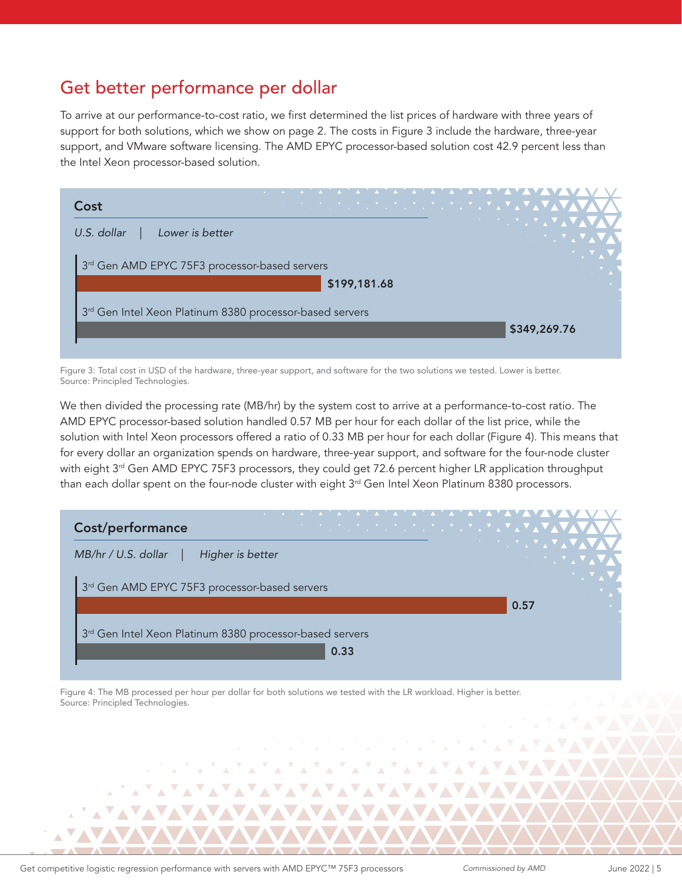# Get better performance per dollar

To arrive at our performance-to-cost ratio, we first determined the list prices of hardware with three years of support for both solutions, which we show on page 2. The costs in Figure 3 include the hardware, three-year support, and VMware software licensing. The AMD EPYC processor-based solution cost 42.9 percent less than the Intel Xeon processor-based solution.

| Cost                                                                 | <u> 2008 - 2008 - 2008 - 2008 - 2008 - 2008 - 2008 - 2008 - 2008 - 2008 - 2008 - 2008 - 2008 - 2008 - 2008 - 200</u> |                                  |
|----------------------------------------------------------------------|----------------------------------------------------------------------------------------------------------------------|----------------------------------|
| Lower is better<br>U.S. dollar                                       |                                                                                                                      | <b>アンプログラスアスマ</b><br>→ 7 → 7 → 7 |
| 3rd Gen AMD EPYC 75F3 processor-based servers                        |                                                                                                                      |                                  |
|                                                                      | \$199,181.68                                                                                                         |                                  |
| 3 <sup>rd</sup> Gen Intel Xeon Platinum 8380 processor-based servers |                                                                                                                      |                                  |
|                                                                      |                                                                                                                      | \$349,269.76                     |
|                                                                      |                                                                                                                      |                                  |

Figure 3: Total cost in USD of the hardware, three-year support, and software for the two solutions we tested. Lower is better. Source: Principled Technologies.

We then divided the processing rate (MB/hr) by the system cost to arrive at a performance-to-cost ratio. The AMD EPYC processor-based solution handled 0.57 MB per hour for each dollar of the list price, while the solution with Intel Xeon processors offered a ratio of 0.33 MB per hour for each dollar (Figure 4). This means that for every dollar an organization spends on hardware, three-year support, and software for the four-node cluster with eight 3<sup>rd</sup> Gen AMD EPYC 75F3 processors, they could get 72.6 percent higher LR application throughput than each dollar spent on the four-node cluster with eight  $3<sup>rd</sup>$  Gen Intel Xeon Platinum 8380 processors.

| MB/hr / U.S. dollar<br>Higher is better                  | ▓▓░▓░▓░▓░▓ <sub></sub> <sub></sub> |
|----------------------------------------------------------|------------------------------------|
|                                                          | <b>AND THE YOU</b>                 |
| 3rd Gen AMD EPYC 75F3 processor-based servers            |                                    |
|                                                          | 0.57                               |
| 3rd Gen Intel Xeon Platinum 8380 processor-based servers |                                    |
| 0.33                                                     |                                    |

AYAYAYAYAYAYAYAYAYAYAY

Figure 4: The MB processed per hour per dollar for both solutions we tested with the LR workload. Higher is better. Source: Principled Technologies.